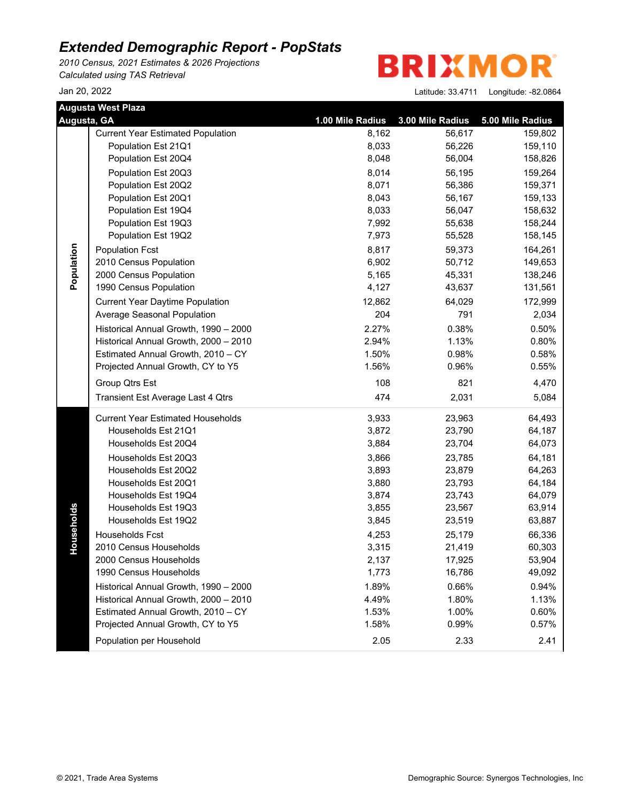*2010 Census, 2021 Estimates & 2026 Projections Calculated using TAS Retrieval*

**BRIXMOR** 

|             | <b>Augusta West Plaza</b>                |                  |                  |                  |
|-------------|------------------------------------------|------------------|------------------|------------------|
| Augusta, GA |                                          | 1.00 Mile Radius | 3.00 Mile Radius | 5.00 Mile Radius |
|             | <b>Current Year Estimated Population</b> | 8,162            | 56,617           | 159,802          |
|             | Population Est 21Q1                      | 8,033            | 56,226           | 159,110          |
|             | Population Est 20Q4                      | 8,048            | 56,004           | 158,826          |
|             | Population Est 20Q3                      | 8,014            | 56,195           | 159,264          |
|             | Population Est 20Q2                      | 8,071            | 56,386           | 159,371          |
|             | Population Est 20Q1                      | 8,043            | 56,167           | 159,133          |
|             | Population Est 19Q4                      | 8,033            | 56,047           | 158,632          |
|             | Population Est 19Q3                      | 7,992            | 55,638           | 158,244          |
|             | Population Est 19Q2                      | 7,973            | 55,528           | 158,145          |
|             | <b>Population Fcst</b>                   | 8,817            | 59,373           | 164,261          |
|             | 2010 Census Population                   | 6,902            | 50,712           | 149,653          |
| Population  | 2000 Census Population                   | 5,165            | 45,331           | 138,246          |
|             | 1990 Census Population                   | 4,127            | 43,637           | 131,561          |
|             | <b>Current Year Daytime Population</b>   | 12,862           | 64,029           | 172,999          |
|             | Average Seasonal Population              | 204              | 791              | 2,034            |
|             | Historical Annual Growth, 1990 - 2000    | 2.27%            | 0.38%            | 0.50%            |
|             | Historical Annual Growth, 2000 - 2010    | 2.94%            | 1.13%            | 0.80%            |
|             | Estimated Annual Growth, 2010 - CY       | 1.50%            | 0.98%            | 0.58%            |
|             | Projected Annual Growth, CY to Y5        | 1.56%            | 0.96%            | 0.55%            |
|             | Group Qtrs Est                           | 108              | 821              | 4,470            |
|             | Transient Est Average Last 4 Qtrs        | 474              | 2,031            | 5,084            |
|             | <b>Current Year Estimated Households</b> | 3,933            | 23,963           | 64,493           |
|             | Households Est 21Q1                      | 3,872            | 23,790           | 64,187           |
|             | Households Est 20Q4                      | 3,884            | 23,704           | 64,073           |
|             | Households Est 20Q3                      | 3,866            | 23,785           | 64,181           |
|             | Households Est 20Q2                      | 3,893            | 23,879           | 64,263           |
|             | Households Est 20Q1                      | 3,880            | 23,793           | 64,184           |
|             | Households Est 19Q4                      | 3,874            | 23,743           | 64,079           |
| Households  | Households Est 19Q3                      | 3,855            | 23,567           | 63,914           |
|             | Households Est 19Q2                      | 3,845            | 23,519           | 63,887           |
|             | Households Fcst                          | 4,253            | 25,179           | 66,336           |
|             | 2010 Census Households                   | 3,315            | 21,419           | 60,303           |
|             | 2000 Census Households                   | 2,137            | 17,925           | 53,904           |
|             | 1990 Census Households                   | 1,773            | 16,786           | 49,092           |
|             | Historical Annual Growth, 1990 - 2000    | 1.89%            | 0.66%            | 0.94%            |
|             | Historical Annual Growth, 2000 - 2010    | 4.49%            | 1.80%            | 1.13%            |
|             | Estimated Annual Growth, 2010 - CY       | 1.53%            | 1.00%            | 0.60%            |
|             | Projected Annual Growth, CY to Y5        | 1.58%            | 0.99%            | 0.57%            |
|             | Population per Household                 | 2.05             | 2.33             | 2.41             |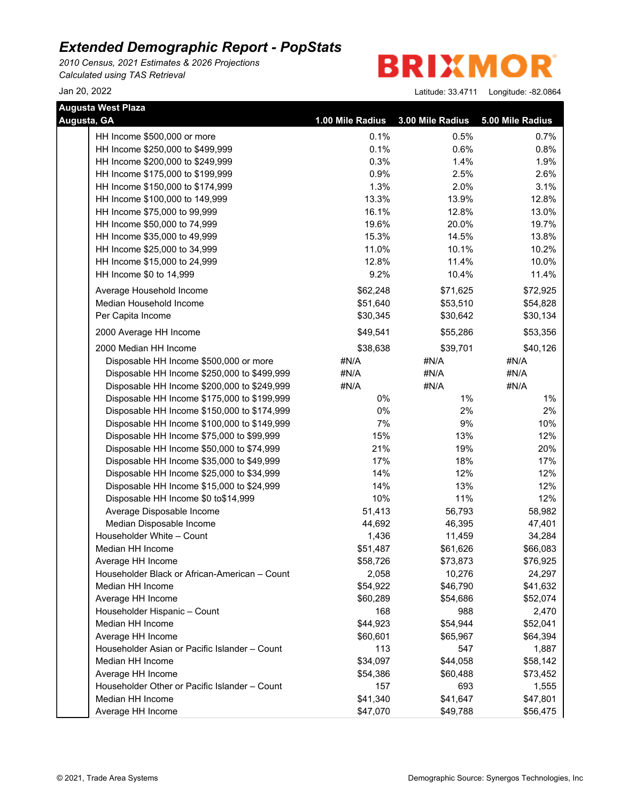*2010 Census, 2021 Estimates & 2026 Projections Calculated using TAS Retrieval*

**BRIXMOR** 

| <b>Augusta West Plaza</b> |                                               |                  |                  |                  |  |
|---------------------------|-----------------------------------------------|------------------|------------------|------------------|--|
| Augusta, GA               |                                               | 1.00 Mile Radius | 3.00 Mile Radius | 5.00 Mile Radius |  |
|                           | HH Income \$500,000 or more                   | 0.1%             | 0.5%             | 0.7%             |  |
|                           | HH Income \$250,000 to \$499,999              | 0.1%             | 0.6%             | 0.8%             |  |
|                           | HH Income \$200,000 to \$249,999              | 0.3%             | 1.4%             | 1.9%             |  |
|                           | HH Income \$175,000 to \$199,999              | 0.9%             | 2.5%             | 2.6%             |  |
|                           | HH Income \$150,000 to \$174,999              | 1.3%             | 2.0%             | 3.1%             |  |
|                           | HH Income \$100,000 to 149,999                | 13.3%            | 13.9%            | 12.8%            |  |
|                           | HH Income \$75,000 to 99,999                  | 16.1%            | 12.8%            | 13.0%            |  |
|                           | HH Income \$50,000 to 74,999                  | 19.6%            | 20.0%            | 19.7%            |  |
|                           | HH Income \$35,000 to 49,999                  | 15.3%            | 14.5%            | 13.8%            |  |
|                           | HH Income \$25,000 to 34,999                  | 11.0%            | 10.1%            | 10.2%            |  |
|                           | HH Income \$15,000 to 24,999                  | 12.8%            | 11.4%            | 10.0%            |  |
|                           | HH Income \$0 to 14,999                       | 9.2%             | 10.4%            | 11.4%            |  |
|                           | Average Household Income                      | \$62,248         | \$71,625         | \$72,925         |  |
|                           | Median Household Income                       | \$51,640         | \$53,510         | \$54,828         |  |
|                           | Per Capita Income                             | \$30,345         | \$30,642         | \$30,134         |  |
|                           | 2000 Average HH Income                        | \$49,541         | \$55,286         | \$53,356         |  |
|                           | 2000 Median HH Income                         | \$38,638         | \$39,701         | \$40,126         |  |
|                           | Disposable HH Income \$500,000 or more        | #N/A             | #N/A             | #N/A             |  |
|                           | Disposable HH Income \$250,000 to \$499,999   | #N/A             | #N/A             | #N/A             |  |
|                           | Disposable HH Income \$200,000 to \$249,999   | #N/A             | #N/A             | #N/A             |  |
|                           | Disposable HH Income \$175,000 to \$199,999   | 0%               | $1\%$            | 1%               |  |
|                           | Disposable HH Income \$150,000 to \$174,999   | 0%               | 2%               | 2%               |  |
|                           | Disposable HH Income \$100,000 to \$149,999   | 7%               | 9%               | 10%              |  |
|                           | Disposable HH Income \$75,000 to \$99,999     | 15%              | 13%              | 12%              |  |
|                           | Disposable HH Income \$50,000 to \$74,999     | 21%              | 19%              | 20%              |  |
|                           | Disposable HH Income \$35,000 to \$49,999     | 17%              | 18%              | 17%              |  |
|                           | Disposable HH Income \$25,000 to \$34,999     | 14%              | 12%              | 12%              |  |
|                           | Disposable HH Income \$15,000 to \$24,999     | 14%              | 13%              | 12%              |  |
|                           | Disposable HH Income \$0 to\$14,999           | 10%              | 11%              | 12%              |  |
|                           | Average Disposable Income                     | 51,413           | 56,793           | 58,982           |  |
|                           | Median Disposable Income                      | 44,692           | 46,395           | 47,401           |  |
|                           | Householder White - Count                     | 1,436            | 11,459           | 34,284           |  |
|                           | Median HH Income                              | \$51,487         | \$61,626         | \$66,083         |  |
|                           | Average HH Income                             | \$58,726         | \$73,873         | \$76,925         |  |
|                           | Householder Black or African-American - Count | 2,058            | 10,276           | 24,297           |  |
|                           | Median HH Income                              | \$54,922         | \$46,790         | \$41,632         |  |
|                           | Average HH Income                             | \$60,289         | \$54,686         | \$52,074         |  |
|                           | Householder Hispanic - Count                  | 168              | 988              | 2,470            |  |
|                           | Median HH Income                              | \$44,923         | \$54,944         | \$52,041         |  |
|                           | Average HH Income                             | \$60,601         | \$65,967         | \$64,394         |  |
|                           | Householder Asian or Pacific Islander - Count | 113              | 547              | 1,887            |  |
|                           | Median HH Income                              | \$34,097         | \$44,058         | \$58,142         |  |
|                           | Average HH Income                             | \$54,386         | \$60,488         | \$73,452         |  |
|                           | Householder Other or Pacific Islander - Count | 157              | 693              | 1,555            |  |
|                           | Median HH Income                              | \$41,340         | \$41,647         | \$47,801         |  |
|                           | Average HH Income                             | \$47,070         | \$49,788         | \$56,475         |  |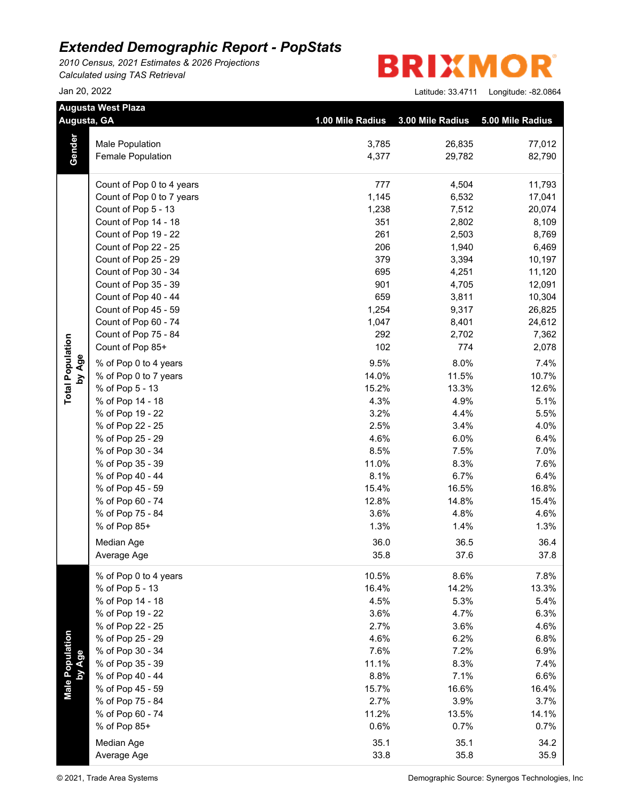*2010 Census, 2021 Estimates & 2026 Projections Calculated using TAS Retrieval*

| <b>BRIXMOR®</b> |  |  |  |  |  |  |
|-----------------|--|--|--|--|--|--|
|-----------------|--|--|--|--|--|--|

|                         | <b>Augusta West Plaza</b> |                  |                  |                  |
|-------------------------|---------------------------|------------------|------------------|------------------|
|                         | Augusta, GA               | 1.00 Mile Radius | 3.00 Mile Radius | 5.00 Mile Radius |
|                         |                           |                  |                  |                  |
|                         | Male Population           | 3,785            | 26,835           | 77,012           |
| Gender                  | Female Population         | 4,377            | 29,782           | 82,790           |
|                         | Count of Pop 0 to 4 years | 777              | 4,504            | 11,793           |
|                         | Count of Pop 0 to 7 years | 1,145            | 6,532            | 17,041           |
|                         | Count of Pop 5 - 13       | 1,238            | 7,512            | 20,074           |
|                         | Count of Pop 14 - 18      | 351              | 2,802            | 8,109            |
|                         | Count of Pop 19 - 22      | 261              | 2,503            | 8,769            |
|                         | Count of Pop 22 - 25      | 206              | 1,940            | 6,469            |
|                         | Count of Pop 25 - 29      | 379              | 3,394            | 10,197           |
|                         | Count of Pop 30 - 34      | 695              | 4,251            | 11,120           |
|                         | Count of Pop 35 - 39      | 901              | 4,705            | 12,091           |
|                         | Count of Pop 40 - 44      | 659              | 3,811            | 10,304           |
|                         | Count of Pop 45 - 59      | 1,254            | 9,317            | 26,825           |
|                         | Count of Pop 60 - 74      | 1,047            | 8,401            | 24,612           |
|                         | Count of Pop 75 - 84      | 292              | 2,702            | 7,362            |
|                         | Count of Pop 85+          | 102              | 774              | 2,078            |
| by Age                  | % of Pop 0 to 4 years     | 9.5%             | 8.0%             | 7.4%             |
|                         | % of Pop 0 to 7 years     | 14.0%            | 11.5%            | 10.7%            |
| <b>Total Population</b> | % of Pop 5 - 13           | 15.2%            | 13.3%            | 12.6%            |
|                         | % of Pop 14 - 18          | 4.3%             | 4.9%             | 5.1%             |
|                         | % of Pop 19 - 22          | 3.2%             | 4.4%             | 5.5%             |
|                         | % of Pop 22 - 25          | 2.5%             | 3.4%             | 4.0%             |
|                         | % of Pop 25 - 29          | 4.6%             | 6.0%             | 6.4%             |
|                         | % of Pop 30 - 34          | 8.5%             | 7.5%             | 7.0%             |
|                         | % of Pop 35 - 39          | 11.0%            | 8.3%             | 7.6%             |
|                         | % of Pop 40 - 44          | 8.1%             | 6.7%             | 6.4%             |
|                         | % of Pop 45 - 59          | 15.4%            | 16.5%            | 16.8%            |
|                         | % of Pop 60 - 74          | 12.8%            | 14.8%            | 15.4%            |
|                         | % of Pop 75 - 84          | 3.6%             | 4.8%             | 4.6%             |
|                         | % of Pop 85+              | 1.3%             | 1.4%             | 1.3%             |
|                         | Median Age                | 36.0             | 36.5             | 36.4             |
|                         | Average Age               | 35.8             | 37.6             | 37.8             |
|                         | % of Pop 0 to 4 years     | 10.5%            | 8.6%             | 7.8%             |
|                         | % of Pop 5 - 13           | 16.4%            | 14.2%            | 13.3%            |
|                         | % of Pop 14 - 18          | 4.5%             | 5.3%             | 5.4%             |
|                         | % of Pop 19 - 22          | 3.6%             | 4.7%             | 6.3%             |
|                         | % of Pop 22 - 25          | 2.7%             | 3.6%             | 4.6%             |
| <b>Male Population</b>  | % of Pop 25 - 29          | 4.6%             | 6.2%             | 6.8%             |
|                         | % of Pop 30 - 34          | 7.6%             | 7.2%             | 6.9%             |
|                         | % of Pop 35 - 39          | 11.1%            | 8.3%             | 7.4%             |
|                         | % of Pop 40 - 44          | 8.8%             | 7.1%             | 6.6%             |
|                         | % of Pop 45 - 59          | 15.7%            | 16.6%            | 16.4%            |
|                         | % of Pop 75 - 84          | 2.7%             | 3.9%             | 3.7%             |
|                         | % of Pop 60 - 74          | 11.2%            | 13.5%            | 14.1%            |
|                         | % of Pop 85+              | 0.6%             | 0.7%             | 0.7%             |
|                         | Median Age                | 35.1             | 35.1             | 34.2             |
|                         | Average Age               | 33.8             | 35.8             | 35.9             |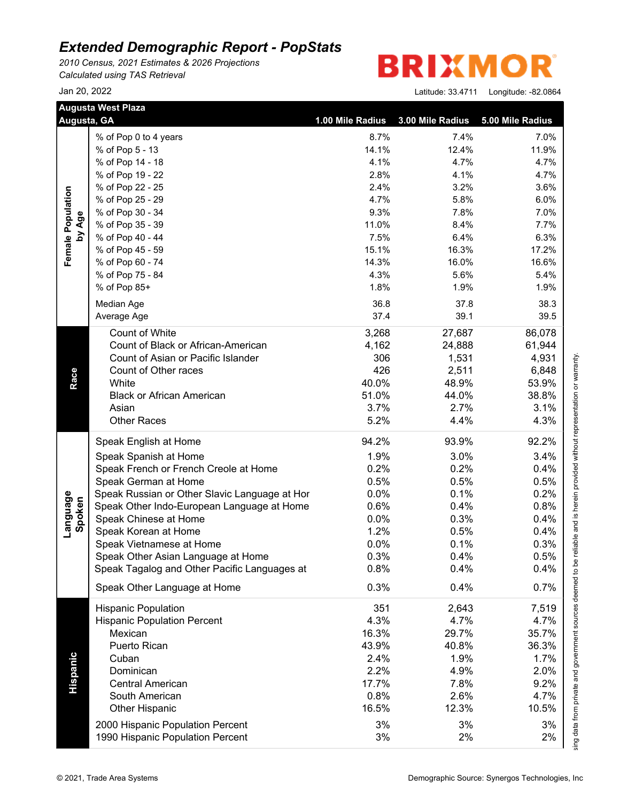*2010 Census, 2021 Estimates & 2026 Projections Calculated using TAS Retrieval*

|                    | <b>Augusta West Plaza</b><br>Augusta, GA      | 1.00 Mile Radius | 3.00 Mile Radius | 5.00 Mile Radius |
|--------------------|-----------------------------------------------|------------------|------------------|------------------|
|                    | % of Pop 0 to 4 years                         | 8.7%             | 7.4%             | 7.0%             |
| Female Population  | % of Pop 5 - 13                               | 14.1%            | 12.4%            | 11.9%            |
|                    | % of Pop 14 - 18                              | 4.1%             | 4.7%             | 4.7%             |
|                    | % of Pop 19 - 22                              | 2.8%             | 4.1%             | 4.7%             |
|                    | % of Pop 22 - 25                              | 2.4%             | 3.2%             | 3.6%             |
|                    | % of Pop 25 - 29                              | 4.7%             | 5.8%             | 6.0%             |
|                    | % of Pop 30 - 34                              | 9.3%             | 7.8%             | 7.0%             |
| by Age             | % of Pop 35 - 39                              | 11.0%            | 8.4%             | 7.7%             |
|                    | % of Pop 40 - 44                              | 7.5%             | 6.4%             | 6.3%             |
|                    | % of Pop 45 - 59                              | 15.1%            | 16.3%            | 17.2%            |
|                    | % of Pop 60 - 74                              | 14.3%            | 16.0%            | 16.6%            |
|                    | % of Pop 75 - 84                              | 4.3%             | 5.6%             | 5.4%             |
|                    | % of Pop 85+                                  | 1.8%             | 1.9%             | 1.9%             |
|                    |                                               |                  |                  |                  |
|                    | Median Age                                    | 36.8             | 37.8             | 38.3             |
|                    | Average Age                                   | 37.4             | 39.1             | 39.5             |
|                    | Count of White                                | 3,268            | 27,687           | 86,078           |
|                    | Count of Black or African-American            | 4,162            | 24,888           | 61,944           |
|                    | Count of Asian or Pacific Islander            | 306              | 1,531            | 4,931            |
|                    | Count of Other races                          | 426              | 2,511            | 6,848            |
|                    | White                                         | 40.0%            | 48.9%            | 53.9%            |
|                    | <b>Black or African American</b>              | 51.0%            | 44.0%            | 38.8%            |
|                    | Asian                                         | 3.7%             | 2.7%             | 3.1%             |
|                    | <b>Other Races</b>                            | 5.2%             | 4.4%             | 4.3%             |
|                    | Speak English at Home                         | 94.2%            | 93.9%            | 92.2%            |
|                    | Speak Spanish at Home                         | 1.9%             | 3.0%             | 3.4%             |
|                    |                                               | 0.2%             | 0.2%             | 0.4%             |
|                    | Speak French or French Creole at Home         |                  |                  |                  |
|                    | Speak German at Home                          | 0.5%             | 0.5%             | 0.5%             |
|                    | Speak Russian or Other Slavic Language at Hor | 0.0%             | 0.1%             | 0.2%             |
|                    | Speak Other Indo-European Language at Home    | 0.6%             | 0.4%             | 0.8%             |
| Language<br>Spoken | Speak Chinese at Home                         | 0.0%             | 0.3%             | 0.4%             |
|                    | Speak Korean at Home                          | 1.2%             | 0.5%             | 0.4%             |
|                    | Speak Vietnamese at Home                      | 0.0%             | 0.1%             | 0.3%             |
|                    | Speak Other Asian Language at Home            | 0.3%             | 0.4%             | 0.5%             |
|                    | Speak Tagalog and Other Pacific Languages at  | 0.8%             | 0.4%             | 0.4%             |
|                    | Speak Other Language at Home                  | 0.3%             | 0.4%             | 0.7%             |
|                    | <b>Hispanic Population</b>                    | 351              | 2,643            | 7,519            |
|                    | <b>Hispanic Population Percent</b>            | 4.3%             | 4.7%             | 4.7%             |
|                    | Mexican                                       | 16.3%            | 29.7%            | 35.7%            |
|                    | Puerto Rican                                  | 43.9%            | 40.8%            | 36.3%            |
|                    | Cuban                                         | 2.4%             | 1.9%             | 1.7%             |
|                    | Dominican                                     | 2.2%             | 4.9%             | 2.0%             |
|                    | <b>Central American</b>                       | 17.7%            | 7.8%             | 9.2%             |
|                    | South American                                | 0.8%             | 2.6%             | 4.7%             |
|                    | <b>Other Hispanic</b>                         | 16.5%            | 12.3%            | 10.5%            |
|                    |                                               |                  |                  |                  |
|                    | 2000 Hispanic Population Percent              | 3%<br>3%         | 3%<br>2%         | 3%<br>2%         |
|                    | 1990 Hispanic Population Percent              |                  |                  |                  |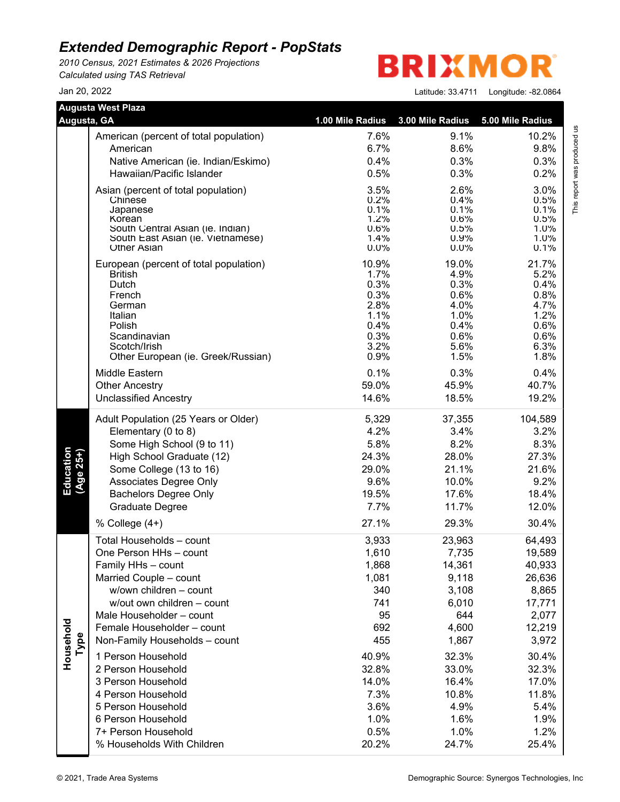*2010 Census, 2021 Estimates & 2026 Projections Calculated using TAS Retrieval*

**BRIXMO** R

Jan 20, 2022 Latitude: 33.4711 Longitude: -82.0864

This report was produced us<br>T

| Augusta, GA            | <b>Augusta West Plaza</b>                                | 1.00 Mile Radius | 3.00 Mile Radius | 5.00 Mile Radius                     |
|------------------------|----------------------------------------------------------|------------------|------------------|--------------------------------------|
|                        |                                                          |                  |                  |                                      |
|                        | American (percent of total population)                   | 7.6%             | 9.1%             | This report was produced us<br>10.2% |
|                        | American                                                 | 6.7%             | 8.6%             | 9.8%                                 |
|                        | Native American (ie. Indian/Eskimo)                      | 0.4%             | 0.3%             | 0.3%                                 |
|                        | Hawaiian/Pacific Islander                                | 0.5%             | 0.3%             | 0.2%                                 |
|                        | Asian (percent of total population)                      | 3.5%             | 2.6%             | 3.0%                                 |
|                        | Chinese<br>Japanese                                      | 0.2%<br>0.1%     | 0.4%<br>0.1%     | 0.5%<br>0.1%                         |
|                        | Korean                                                   | 1.2%             | 0.6%             | 0.5%                                 |
|                        | South Central Asian (ie. Indian)                         | 0.6%             | 0.5%             | 1.0%                                 |
|                        | South East Asian (ie. Vietnamese)<br><b>Other Asian</b>  | 1.4%<br>0.0%     | 0.9%<br>0.0%     | 1.0%<br>0.1%                         |
|                        |                                                          |                  |                  |                                      |
|                        | European (percent of total population)<br><b>British</b> | 10.9%<br>1.7%    | 19.0%<br>4.9%    | 21.7%<br>5.2%                        |
|                        | Dutch                                                    | 0.3%             | 0.3%             | 0.4%                                 |
|                        | French                                                   | 0.3%             | 0.6%             | 0.8%                                 |
|                        | German                                                   | 2.8%             | 4.0%             | 4.7%                                 |
|                        | Italian                                                  | 1.1%             | 1.0%             | 1.2%                                 |
|                        | Polish<br>Scandinavian                                   | 0.4%<br>0.3%     | 0.4%<br>0.6%     | 0.6%<br>0.6%                         |
|                        | Scotch/Irish                                             | 3.2%             | 5.6%             | 6.3%                                 |
|                        | Other European (ie. Greek/Russian)                       | 0.9%             | 1.5%             | 1.8%                                 |
|                        | Middle Eastern                                           | 0.1%             | 0.3%             | 0.4%                                 |
|                        | <b>Other Ancestry</b>                                    | 59.0%            | 45.9%            | 40.7%                                |
|                        | <b>Unclassified Ancestry</b>                             | 14.6%            | 18.5%            | 19.2%                                |
|                        | Adult Population (25 Years or Older)                     | 5,329            | 37,355           | 104,589                              |
|                        | Elementary (0 to 8)                                      | 4.2%             | 3.4%             | 3.2%                                 |
|                        | Some High School (9 to 11)                               | 5.8%             | 8.2%             | 8.3%                                 |
| Education<br>(Age 25+) | High School Graduate (12)                                | 24.3%            | 28.0%            | 27.3%                                |
|                        | Some College (13 to 16)                                  | 29.0%            | 21.1%            | 21.6%                                |
|                        | Associates Degree Only                                   | 9.6%             | 10.0%            | 9.2%                                 |
|                        | <b>Bachelors Degree Only</b>                             | 19.5%            | 17.6%            | 18.4%                                |
|                        | Graduate Degree                                          | 7.7%             | 11.7%            | 12.0%                                |
|                        | % College $(4+)$                                         | 27.1%            | 29.3%            | 30.4%                                |
|                        | Total Households - count                                 | 3,933            | 23,963           | 64,493                               |
|                        | One Person HHs - count                                   | 1,610            | 7,735            | 19,589                               |
|                        | Family HHs - count                                       | 1,868            | 14,361           | 40,933                               |
|                        | Married Couple - count                                   | 1,081            | 9,118            | 26,636                               |
|                        | w/own children - count                                   | 340              | 3,108            | 8,865                                |
|                        | w/out own children - count                               | 741              | 6,010            | 17,771                               |
|                        | Male Householder - count                                 | 95               | 644              | 2,077                                |
|                        | Female Householder - count                               | 692              | 4,600            | 12,219                               |
| Type                   | Non-Family Households - count                            | 455              | 1,867            | 3,972                                |
| Household              | 1 Person Household                                       | 40.9%            | 32.3%            | 30.4%                                |
|                        | 2 Person Household                                       | 32.8%            | 33.0%            | 32.3%                                |
|                        | 3 Person Household                                       | 14.0%            | 16.4%            | 17.0%                                |
|                        | 4 Person Household                                       | 7.3%             | 10.8%            | 11.8%                                |
|                        | 5 Person Household                                       | 3.6%             | 4.9%             | 5.4%                                 |
|                        | 6 Person Household                                       | 1.0%             | 1.6%             | 1.9%                                 |
|                        | 7+ Person Household                                      | 0.5%             | 1.0%             | 1.2%                                 |
|                        | % Households With Children                               | 20.2%            | 24.7%            | 25.4%                                |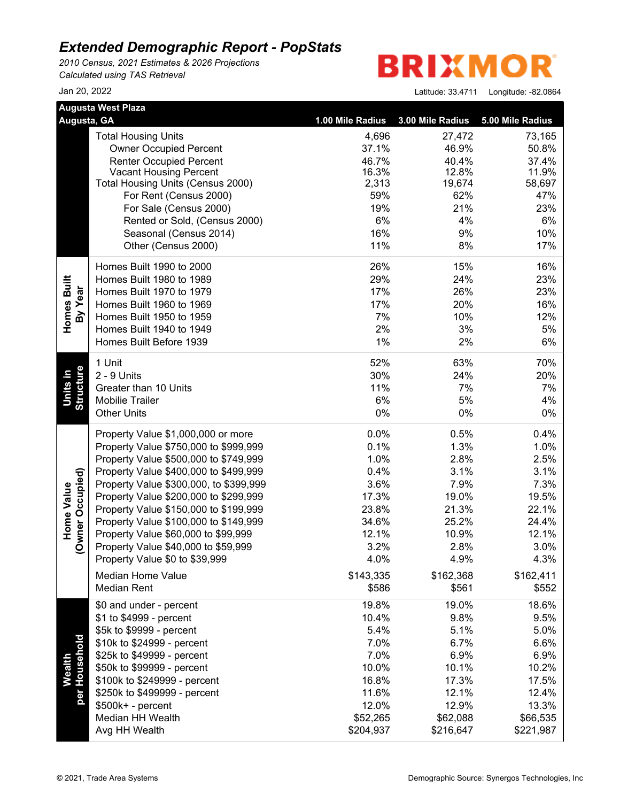*2010 Census, 2021 Estimates & 2026 Projections Calculated using TAS Retrieval*

**BRIXMO** R

| <b>Augusta West Plaza</b> |                                                         |                  |                  |                  |
|---------------------------|---------------------------------------------------------|------------------|------------------|------------------|
| Augusta, GA               |                                                         | 1.00 Mile Radius | 3.00 Mile Radius | 5.00 Mile Radius |
|                           | <b>Total Housing Units</b>                              | 4,696            | 27,472           | 73,165           |
|                           | <b>Owner Occupied Percent</b>                           | 37.1%            | 46.9%            | 50.8%            |
|                           | <b>Renter Occupied Percent</b>                          | 46.7%            | 40.4%            | 37.4%            |
|                           | <b>Vacant Housing Percent</b>                           | 16.3%            | 12.8%            | 11.9%            |
|                           | Total Housing Units (Census 2000)                       | 2,313            | 19,674           | 58,697           |
|                           | For Rent (Census 2000)<br>For Sale (Census 2000)        | 59%<br>19%       | 62%<br>21%       | 47%<br>23%       |
|                           |                                                         | 6%               | 4%               | 6%               |
|                           | Rented or Sold, (Census 2000)<br>Seasonal (Census 2014) | 16%              | 9%               | 10%              |
|                           | Other (Census 2000)                                     | 11%              | 8%               | 17%              |
|                           |                                                         |                  |                  |                  |
|                           | Homes Built 1990 to 2000                                | 26%              | 15%              | 16%              |
| Homes Built               | Homes Built 1980 to 1989                                | 29%              | 24%              | 23%              |
| By Year                   | Homes Built 1970 to 1979                                | 17%              | 26%              | 23%              |
|                           | Homes Built 1960 to 1969                                | 17%              | 20%              | 16%              |
|                           | Homes Built 1950 to 1959                                | 7%               | 10%              | 12%              |
|                           | Homes Built 1940 to 1949                                | 2%               | 3%               | 5%               |
|                           | Homes Built Before 1939                                 | 1%               | 2%               | 6%               |
|                           | 1 Unit                                                  | 52%              | 63%              | 70%              |
|                           | 2 - 9 Units                                             | 30%              | 24%              | 20%              |
| Units in                  | Greater than 10 Units                                   | 11%              | 7%               | 7%               |
| Structure                 | <b>Mobilie Trailer</b>                                  | 6%               | 5%               | 4%               |
|                           | <b>Other Units</b>                                      | 0%               | $0\%$            | 0%               |
|                           | Property Value \$1,000,000 or more                      | 0.0%             | 0.5%             | 0.4%             |
|                           | Property Value \$750,000 to \$999,999                   | 0.1%             | 1.3%             | 1.0%             |
|                           | Property Value \$500,000 to \$749,999                   | 1.0%             | 2.8%             | 2.5%             |
|                           | Property Value \$400,000 to \$499,999                   | 0.4%             | 3.1%             | 3.1%             |
| (Owner Occupied)          | Property Value \$300,000, to \$399,999                  | 3.6%             | 7.9%             | 7.3%             |
| Home Value                | Property Value \$200,000 to \$299,999                   | 17.3%            | 19.0%            | 19.5%            |
|                           | Property Value \$150,000 to \$199,999                   | 23.8%            | 21.3%            | 22.1%            |
|                           | Property Value \$100,000 to \$149,999                   | 34.6%            | 25.2%            | 24.4%            |
|                           | Property Value \$60,000 to \$99,999                     | 12.1%            | 10.9%            | 12.1%            |
|                           | Property Value \$40,000 to \$59,999                     | 3.2%             | 2.8%             | 3.0%             |
|                           | Property Value \$0 to \$39,999                          | 4.0%             | 4.9%             | 4.3%             |
|                           | Median Home Value                                       | \$143,335        | \$162,368        | \$162,411        |
|                           | <b>Median Rent</b>                                      | \$586            | \$561            | \$552            |
|                           | \$0 and under - percent                                 | 19.8%            | 19.0%            | 18.6%            |
|                           | \$1 to \$4999 - percent                                 | 10.4%            | 9.8%             | 9.5%             |
|                           | \$5k to \$9999 - percent                                | 5.4%             | 5.1%             | 5.0%             |
|                           | \$10k to \$24999 - percent                              | 7.0%             | 6.7%             | 6.6%             |
| <b>Wealth</b>             | \$25k to \$49999 - percent                              | 7.0%             | 6.9%             | 6.9%             |
|                           | \$50k to \$99999 - percent                              | 10.0%            | 10.1%            | 10.2%            |
|                           | \$100k to \$249999 - percent                            | 16.8%            | 17.3%            | 17.5%            |
| per Household             | \$250k to \$499999 - percent                            | 11.6%            | 12.1%            | 12.4%            |
|                           | \$500k+ - percent                                       | 12.0%            | 12.9%            | 13.3%            |
|                           | Median HH Wealth                                        | \$52,265         | \$62,088         | \$66,535         |
|                           | Avg HH Wealth                                           | \$204,937        | \$216,647        | \$221,987        |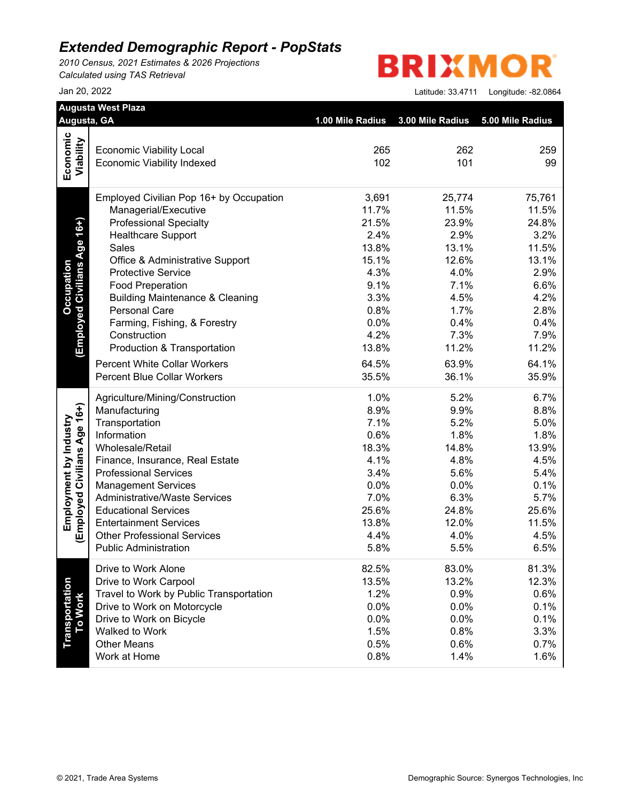*2010 Census, 2021 Estimates & 2026 Projections Calculated using TAS Retrieval*

**BRIXMOR** 

|                                  | Augusta, GA                                                        | 1.00 Mile Radius | 3.00 Mile Radius | 5.00 Mile Radius |
|----------------------------------|--------------------------------------------------------------------|------------------|------------------|------------------|
|                                  |                                                                    |                  |                  |                  |
|                                  | <b>Economic Viability Local</b>                                    | 265              | 262              | 259              |
| Economic<br>Viability            | <b>Economic Viability Indexed</b>                                  | 102              | 101              | 99               |
|                                  | Employed Civilian Pop 16+ by Occupation                            | 3,691            | 25,774           | 75,761           |
|                                  | Managerial/Executive                                               | 11.7%            | 11.5%            | 11.5%            |
|                                  | <b>Professional Specialty</b>                                      | 21.5%            | 23.9%            | 24.8%            |
|                                  | <b>Healthcare Support</b>                                          | 2.4%             | 2.9%             | 3.2%             |
| (Employed Civilians Age 16+)     | Sales                                                              | 13.8%            | 13.1%            | 11.5%            |
|                                  | Office & Administrative Support                                    | 15.1%            | 12.6%            | 13.1%            |
|                                  | <b>Protective Service</b>                                          | 4.3%             | 4.0%             | 2.9%             |
|                                  | <b>Food Preperation</b>                                            | 9.1%             | 7.1%             | 6.6%             |
|                                  | <b>Building Maintenance &amp; Cleaning</b>                         | 3.3%             | 4.5%             | 4.2%             |
|                                  | <b>Personal Care</b>                                               | 0.8%             | 1.7%             | 2.8%             |
|                                  | Farming, Fishing, & Forestry                                       | 0.0%             | 0.4%             | 0.4%             |
|                                  | Construction                                                       | 4.2%             | 7.3%             | 7.9%             |
|                                  | Production & Transportation                                        | 13.8%            | 11.2%            | 11.2%            |
|                                  | <b>Percent White Collar Workers</b>                                | 64.5%            | 63.9%            | 64.1%            |
|                                  | <b>Percent Blue Collar Workers</b>                                 | 35.5%            | 36.1%            | 35.9%            |
|                                  | Agriculture/Mining/Construction                                    | 1.0%             | 5.2%             | 6.7%             |
|                                  | Manufacturing                                                      | 8.9%             | 9.9%             | 8.8%             |
|                                  | Transportation                                                     | 7.1%             | 5.2%             | 5.0%             |
|                                  | Information                                                        | 0.6%             | 1.8%             | 1.8%             |
|                                  | Wholesale/Retail                                                   | 18.3%            | 14.8%            | 13.9%            |
|                                  | Finance, Insurance, Real Estate                                    | 4.1%             | 4.8%             | 4.5%             |
|                                  | <b>Professional Services</b>                                       | 3.4%             | 5.6%             | 5.4%             |
|                                  | <b>Management Services</b>                                         | 0.0%             | 0.0%             | 0.1%             |
|                                  | <b>Administrative/Waste Services</b>                               | 7.0%             | 6.3%             | 5.7%             |
|                                  | <b>Educational Services</b>                                        | 25.6%            | 24.8%            | 25.6%            |
| (Employed Civilians Age 16+)     | <b>Entertainment Services</b>                                      | 13.8%            | 12.0%            | 11.5%            |
|                                  | <b>Other Professional Services</b><br><b>Public Administration</b> | 4.4%<br>5.8%     | 4.0%<br>5.5%     | 4.5%<br>6.5%     |
|                                  | Drive to Work Alone                                                | 82.5%            | 83.0%            | 81.3%            |
|                                  | Drive to Work Carpool                                              | 13.5%            | 13.2%            | 12.3%            |
|                                  | Travel to Work by Public Transportation                            | 1.2%             | 0.9%             | 0.6%             |
|                                  | Drive to Work on Motorcycle                                        | 0.0%             | 0.0%             | 0.1%             |
|                                  | Drive to Work on Bicycle                                           | 0.0%             | 0.0%             | 0.1%             |
|                                  | Walked to Work                                                     | 1.5%             | 0.8%             | 3.3%             |
| <b>Transportation</b><br>To Work | <b>Other Means</b>                                                 | 0.5%             | 0.6%             | 0.7%             |
|                                  | Work at Home                                                       | 0.8%             | 1.4%             | 1.6%             |